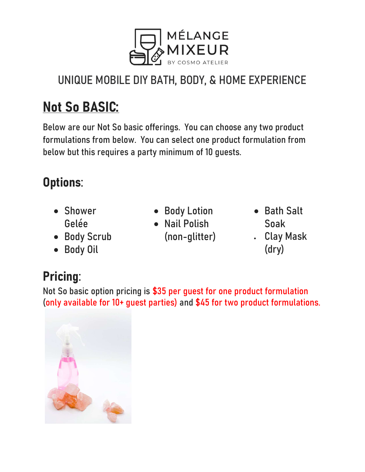

### UNIQUE MOBILE DIY BATH, BODY, & HOME EXPERIENCE

# Not So BASIC:

Below are our Not So basic offerings. You can choose any two product formulations from below. You can select one product formulation from below but this requires a party minimum of 10 guests.

### Options:

- Shower Gelée
- Body Scrub
- Body Oil
- Body Lotion
- Nail Polish (non-glitter)
- Bath Salt Soak Clay Mask
- (dry)

# Pricing:

Not So basic option pricing is \$35 per guest for one product formulation (only available for 10+ guest parties) and \$45 for two product formulations.